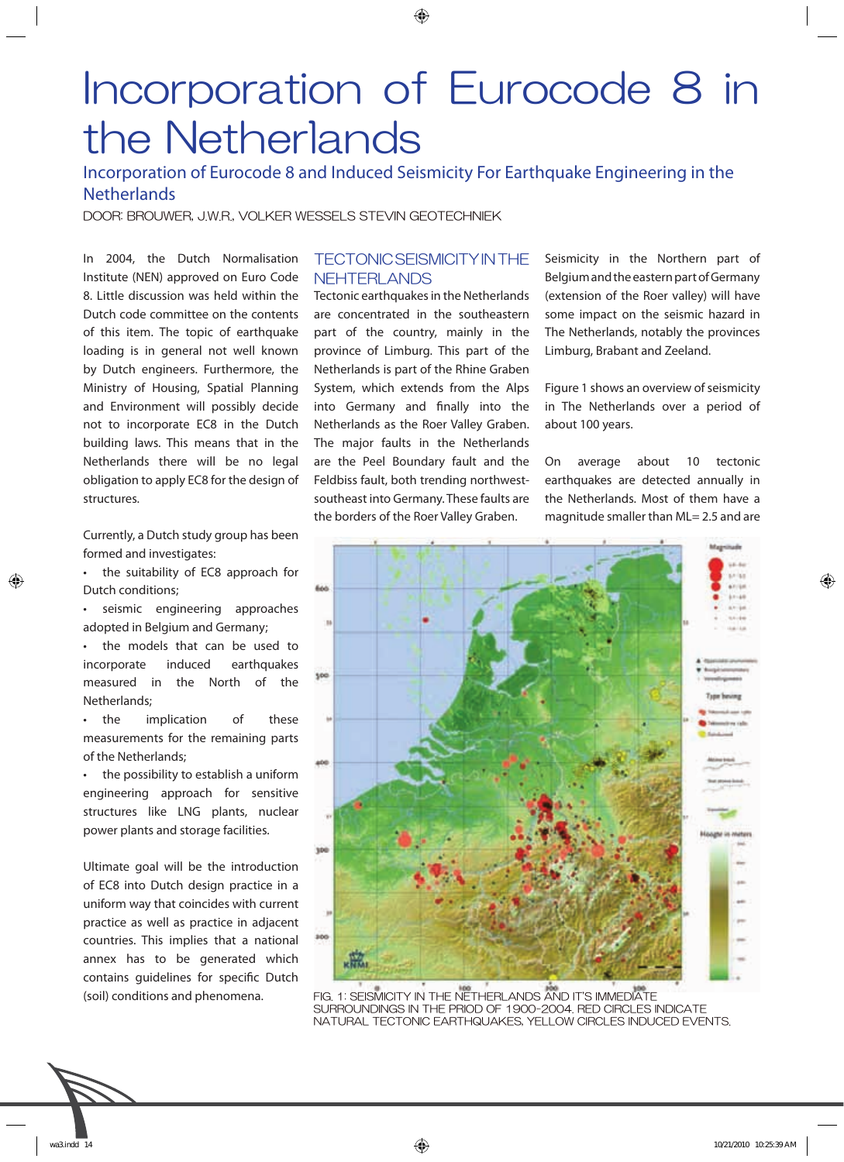# Incorporation of Eurocode 8 in the Netherlands

# Incorporation of Eurocode 8 and Induced Seismicity For Earthquake Engineering in the **Netherlands**

DOOR: BROUWER, J.W.R., VOLKER WESSELS STEVIN GEOTECHNIEK

In 2004, the Dutch Normalisation Institute (NEN) approved on Euro Code 8. Little discussion was held within the Dutch code committee on the contents of this item. The topic of earthquake loading is in general not well known by Dutch engineers. Furthermore, the Ministry of Housing, Spatial Planning and Environment will possibly decide not to incorporate EC8 in the Dutch building laws. This means that in the Netherlands there will be no legal obligation to apply EC8 for the design of structures.

Currently, a Dutch study group has been formed and investigates:

the suitability of EC8 approach for Dutch conditions;

⊕

- seismic engineering approaches adopted in Belgium and Germany;
- the models that can be used to incorporate induced earthquakes measured in the North of the Netherlands;
- the implication of these measurements for the remaining parts of the Netherlands;

the possibility to establish a uniform engineering approach for sensitive structures like LNG plants, nuclear power plants and storage facilities.

Ultimate goal will be the introduction of EC8 into Dutch design practice in a uniform way that coincides with current practice as well as practice in adjacent countries. This implies that a national annex has to be generated which contains guidelines for specific Dutch (soil) conditions and phenomena.

# TECTONIC SEISMICITY IN THE NEHTERLANDS

Tectonic earthquakes in the Netherlands are concentrated in the southeastern part of the country, mainly in the province of Limburg. This part of the Netherlands is part of the Rhine Graben System, which extends from the Alps into Germany and finally into the Netherlands as the Roer Valley Graben. The major faults in the Netherlands are the Peel Boundary fault and the Feldbiss fault, both trending northwestsoutheast into Germany. These faults are the borders of the Roer Valley Graben.

Seismicity in the Northern part of Belgium and the eastern part of Germany (extension of the Roer valley) will have some impact on the seismic hazard in The Netherlands, notably the provinces Limburg, Brabant and Zeeland.

Figure 1 shows an overview of seismicity in The Netherlands over a period of about 100 years.

On average about 10 tectonic earthquakes are detected annually in the Netherlands. Most of them have a magnitude smaller than ML= 2.5 and are



FIG. 1: SEISMICITY IN THE NETHERLANDS AND IT'S IMMEDIATE SURROUNDINGS IN THE PRIOD OF 1900-2004. RED CIRCLES INDICATE NATURAL TECTONIC EARTHQUAKES, YELLOW CIRCLES INDUCED EVENTS.



⊕

↔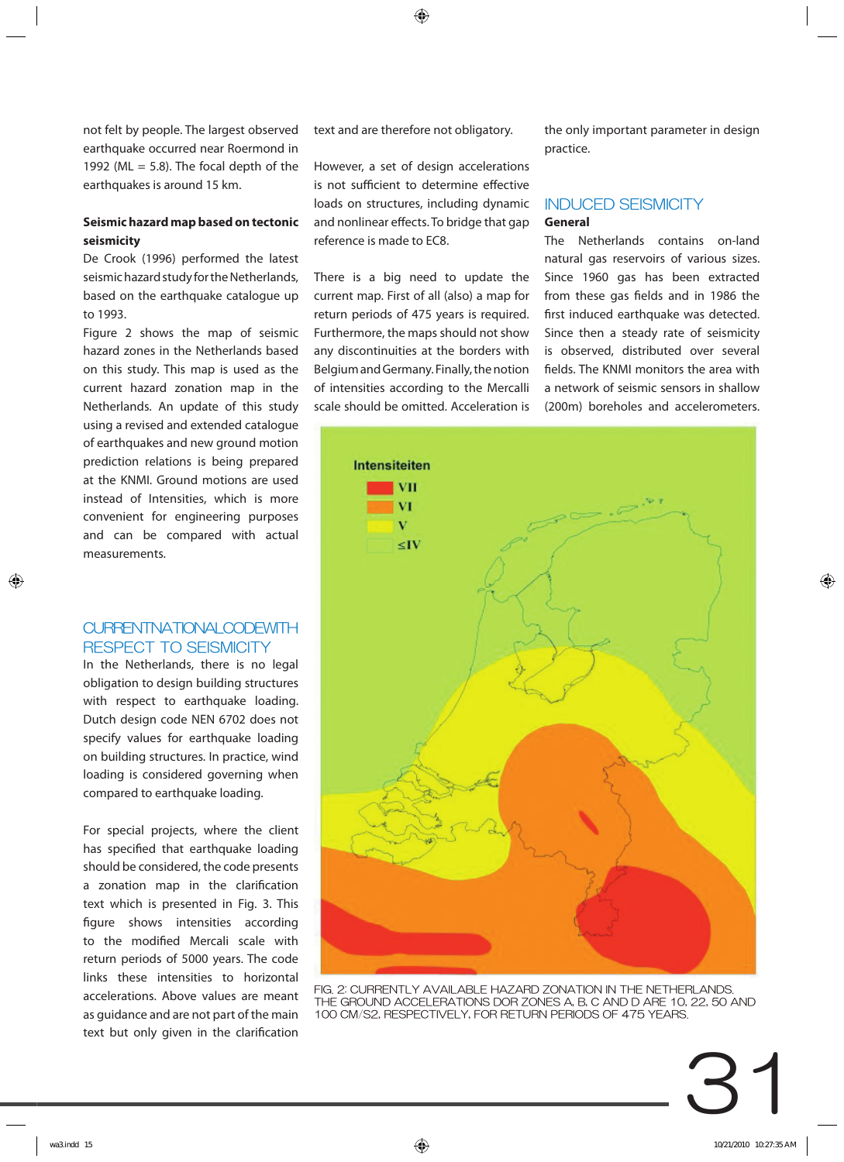not felt by people. The largest observed earthquake occurred near Roermond in 1992 (ML  $=$  5.8). The focal depth of the earthquakes is around 15 km.

# **Seismic hazard map based on tectonic seismicity**

De Crook (1996) performed the latest seismic hazard study for the Netherlands, based on the earthquake catalogue up to 1993.

Figure 2 shows the map of seismic hazard zones in the Netherlands based on this study. This map is used as the current hazard zonation map in the Netherlands. An update of this study using a revised and extended catalogue of earthquakes and new ground motion prediction relations is being prepared at the KNMI. Ground motions are used instead of Intensities, which is more convenient for engineering purposes and can be compared with actual measurements.

## CURRENTNATIONAL CODEWITH RESPECT TO SEISMICITY

In the Netherlands, there is no legal obligation to design building structures with respect to earthquake loading. Dutch design code NEN 6702 does not specify values for earthquake loading on building structures. In practice, wind loading is considered governing when compared to earthquake loading.

For special projects, where the client has specified that earthquake loading should be considered, the code presents a zonation map in the clarification text which is presented in Fig. 3. This figure shows intensities according to the modified Mercali scale with return periods of 5000 years. The code links these intensities to horizontal accelerations. Above values are meant as guidance and are not part of the main text but only given in the clarification

text and are therefore not obligatory.

However, a set of design accelerations is not sufficient to determine effective loads on structures, including dynamic and nonlinear effects. To bridge that gap reference is made to EC8.

There is a big need to update the current map. First of all (also) a map for return periods of 475 years is required. Furthermore, the maps should not show any discontinuities at the borders with Belgium and Germany. Finally, the notion of intensities according to the Mercalli scale should be omitted. Acceleration is the only important parameter in design practice.

# **General** INDUCED SEISMICITY

The Netherlands contains on-land natural gas reservoirs of various sizes. Since 1960 gas has been extracted from these gas fields and in 1986 the first induced earthquake was detected. Since then a steady rate of seismicity is observed, distributed over several fields. The KNMI monitors the area with a network of seismic sensors in shallow (200m) boreholes and accelerometers.



FIG. 2: CURRENTLY AVAILABLE HAZARD ZONATION IN THE NETHERLANDS. THE GROUND ACCELERATIONS DOR ZONES A, B, C AND D ARE 10, 22, 50 AND 100 CM/S2, RESPECTIVELY, FOR RETURN PERIODS OF 475 YEARS.

⊕

⊕

⊕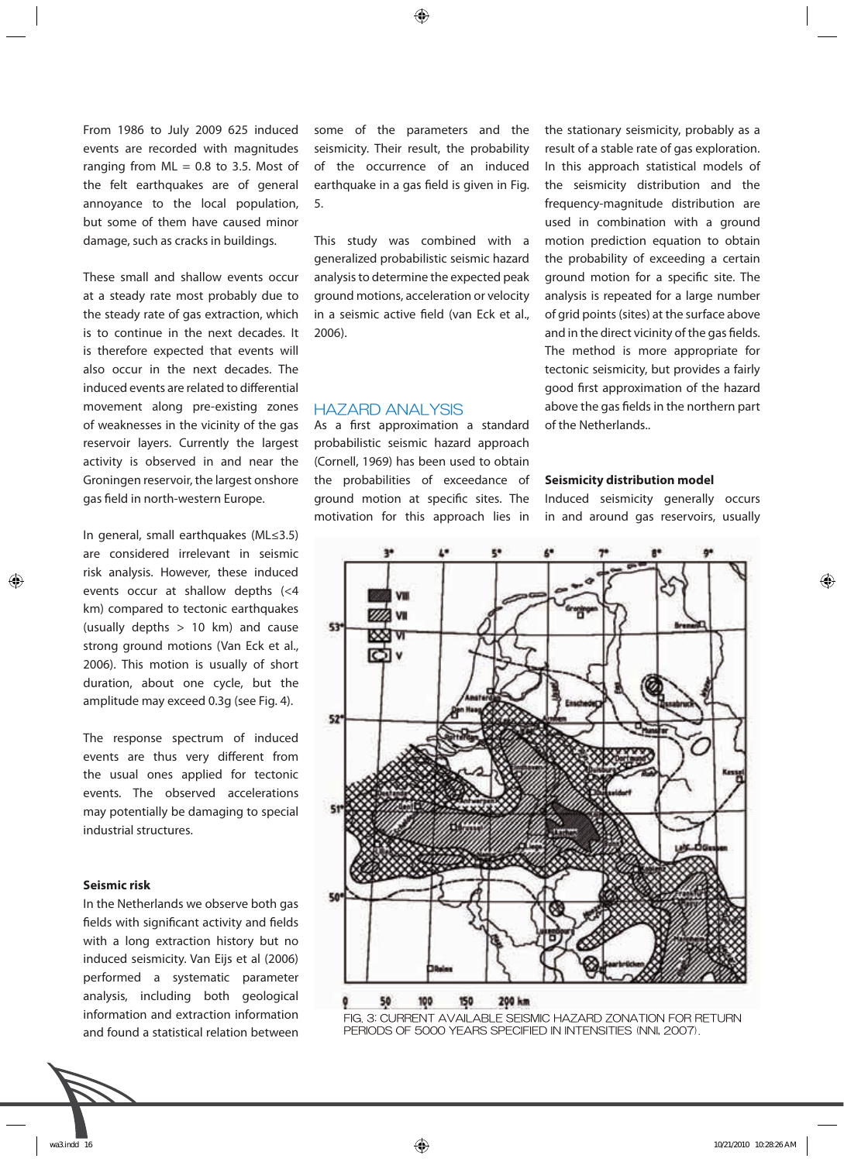From 1986 to July 2009 625 induced events are recorded with magnitudes ranging from  $ML = 0.8$  to 3.5. Most of the felt earthquakes are of general annoyance to the local population, but some of them have caused minor damage, such as cracks in buildings.

These small and shallow events occur at a steady rate most probably due to the steady rate of gas extraction, which is to continue in the next decades. It is therefore expected that events will also occur in the next decades. The induced events are related to differential movement along pre-existing zones of weaknesses in the vicinity of the gas reservoir layers. Currently the largest activity is observed in and near the Groningen reservoir, the largest onshore gas field in north-western Europe.

In general, small earthquakes (ML≤3.5) are considered irrelevant in seismic risk analysis. However, these induced events occur at shallow depths (<4 km) compared to tectonic earthquakes (usually depths > 10 km) and cause strong ground motions (Van Eck et al., 2006). This motion is usually of short duration, about one cycle, but the amplitude may exceed 0.3g (see Fig. 4).

The response spectrum of induced events are thus very different from the usual ones applied for tectonic events. The observed accelerations may potentially be damaging to special industrial structures.

#### **Seismic risk**

⊕

In the Netherlands we observe both gas fields with significant activity and fields with a long extraction history but no induced seismicity. Van Eijs et al (2006) performed a systematic parameter analysis, including both geological information and extraction information and found a statistical relation between



some of the parameters and the seismicity. Their result, the probability of the occurrence of an induced earthquake in a gas field is given in Fig. 5.

This study was combined with a generalized probabilistic seismic hazard analysis to determine the expected peak ground motions, acceleration or velocity in a seismic active field (van Eck et al., 2006).

#### HAZARD ANALYSIS

As a first approximation a standard probabilistic seismic hazard approach (Cornell, 1969) has been used to obtain the probabilities of exceedance of ground motion at specific sites. The motivation for this approach lies in

the stationary seismicity, probably as a result of a stable rate of gas exploration. In this approach statistical models of the seismicity distribution and the frequency-magnitude distribution are used in combination with a ground motion prediction equation to obtain the probability of exceeding a certain ground motion for a specific site. The analysis is repeated for a large number of grid points (sites) at the surface above and in the direct vicinity of the gas fields. The method is more appropriate for tectonic seismicity, but provides a fairly good first approximation of the hazard above the gas fields in the northern part of the Netherlands..

#### **Seismicity distribution model**

Induced seismicity generally occurs in and around gas reservoirs, usually





◈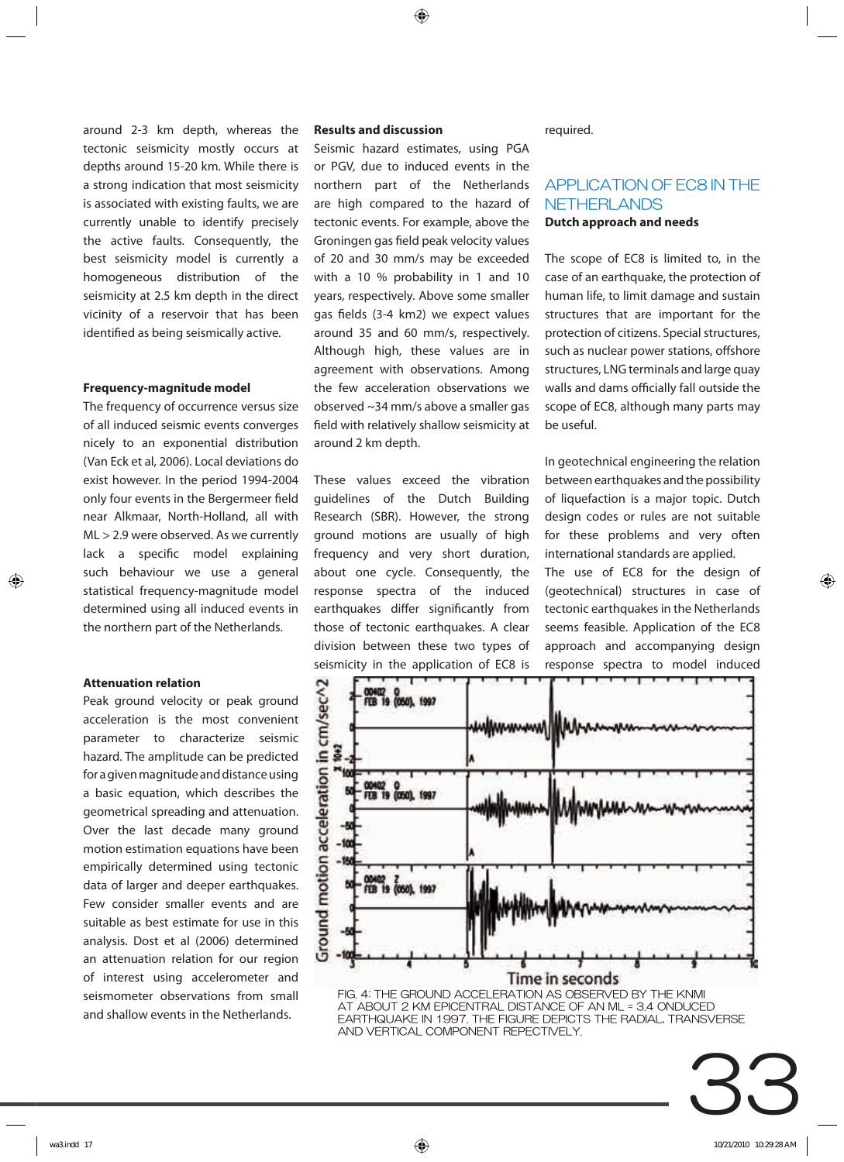⊕

around 2-3 km depth, whereas the tectonic seismicity mostly occurs at depths around 15-20 km. While there is a strong indication that most seismicity is associated with existing faults, we are currently unable to identify precisely the active faults. Consequently, the best seismicity model is currently a homogeneous distribution of the seismicity at 2.5 km depth in the direct vicinity of a reservoir that has been identified as being seismically active.

#### **Frequency-magnitude model**

The frequency of occurrence versus size of all induced seismic events converges nicely to an exponential distribution (Van Eck et al, 2006). Local deviations do exist however. In the period 1994-2004 only four events in the Bergermeer field near Alkmaar, North-Holland, all with ML > 2.9 were observed. As we currently lack a specific model explaining such behaviour we use a general statistical frequency-magnitude model determined using all induced events in the northern part of the Netherlands.

#### **Attenuation relation**

⊕

Peak ground velocity or peak ground acceleration is the most convenient parameter to characterize seismic hazard. The amplitude can be predicted for a given magnitude and distance using a basic equation, which describes the geometrical spreading and attenuation. Over the last decade many ground motion estimation equations have been empirically determined using tectonic data of larger and deeper earthquakes. Few consider smaller events and are suitable as best estimate for use in this analysis. Dost et al (2006) determined an attenuation relation for our region of interest using accelerometer and seismometer observations from small and shallow events in the Netherlands.

#### **Results and discussion**

Seismic hazard estimates, using PGA or PGV, due to induced events in the northern part of the Netherlands are high compared to the hazard of tectonic events. For example, above the Groningen gas field peak velocity values of 20 and 30 mm/s may be exceeded with a 10 % probability in 1 and 10 years, respectively. Above some smaller gas fields (3-4 km2) we expect values around 35 and 60 mm/s, respectively. Although high, these values are in agreement with observations. Among the few acceleration observations we observed ~34 mm/s above a smaller gas field with relatively shallow seismicity at around 2 km depth.

These values exceed the vibration guidelines of the Dutch Building Research (SBR). However, the strong ground motions are usually of high frequency and very short duration, about one cycle. Consequently, the response spectra of the induced earthquakes differ significantly from those of tectonic earthquakes. A clear division between these two types of seismicity in the application of EC8 is

required.

# **Dutch approach and needs** APPLICATION OF EC8 IN THE **NETHERLANDS**

The scope of EC8 is limited to, in the case of an earthquake, the protection of human life, to limit damage and sustain structures that are important for the protection of citizens. Special structures, such as nuclear power stations, offshore structures, LNG terminals and large quay walls and dams officially fall outside the scope of EC8, although many parts may be useful.

In geotechnical engineering the relation between earthquakes and the possibility of liquefaction is a major topic. Dutch design codes or rules are not suitable for these problems and very often international standards are applied.

The use of EC8 for the design of (geotechnical) structures in case of tectonic earthquakes in the Netherlands seems feasible. Application of the EC8 approach and accompanying design response spectra to model induced



AT ABOUT 2 KM EPICENTRAL DISTANCE OF AN ML = 3.4 ONDUCED EARTHQUAKE IN 1997. THE FIGURE DEPICTS THE RADIAL, TRANSVERSE AND VERTICAL COMPONENT REPECTIVELY.

33

⊕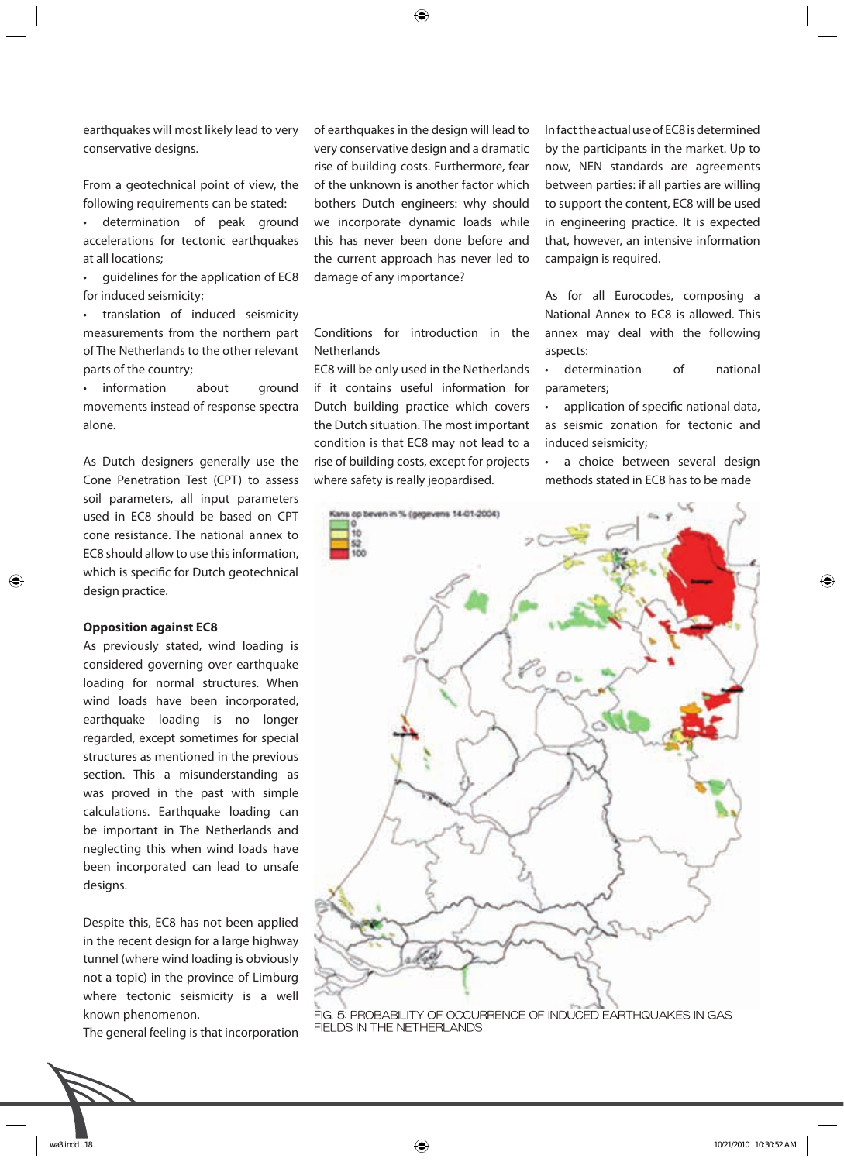earthquakes will most likely lead to very conservative designs.

From a geotechnical point of view, the following requirements can be stated:

• determination of peak ground accelerations for tectonic earthquakes at all locations;

• guidelines for the application of EC8 for induced seismicity;

• translation of induced seismicity measurements from the northern part of The Netherlands to the other relevant parts of the country;

information about ground movements instead of response spectra alone.

As Dutch designers generally use the Cone Penetration Test (CPT) to assess soil parameters, all input parameters used in EC8 should be based on CPT cone resistance. The national annex to EC8 should allow to use this information, which is specific for Dutch geotechnical design practice.

#### **Opposition against EC8**

◈

As previously stated, wind loading is considered governing over earthquake loading for normal structures. When wind loads have been incorporated, earthquake loading is no longer regarded, except sometimes for special structures as mentioned in the previous section. This a misunderstanding as was proved in the past with simple calculations. Earthquake loading can be important in The Netherlands and neglecting this when wind loads have been incorporated can lead to unsafe designs.

Despite this, EC8 has not been applied in the recent design for a large highway tunnel (where wind loading is obviously not a topic) in the province of Limburg where tectonic seismicity is a well known phenomenon.

The general feeling is that incorporation



of earthquakes in the design will lead to very conservative design and a dramatic rise of building costs. Furthermore, fear of the unknown is another factor which bothers Dutch engineers: why should we incorporate dynamic loads while this has never been done before and the current approach has never led to damage of any importance?

Conditions for introduction in the **Netherlands** 

EC8 will be only used in the Netherlands if it contains useful information for Dutch building practice which covers the Dutch situation. The most important condition is that EC8 may not lead to a rise of building costs, except for projects where safety is really jeopardised.

In fact the actual use of EC8 is determined by the participants in the market. Up to now, NEN standards are agreements between parties: if all parties are willing to support the content, EC8 will be used in engineering practice. It is expected that, however, an intensive information campaign is required.

As for all Eurocodes, composing a National Annex to EC8 is allowed. This annex may deal with the following aspects:

• determination of national parameters;

application of specific national data, as seismic zonation for tectonic and induced seismicity;

• a choice between several design methods stated in EC8 has to be made



FIG. 5: PROBABILITY OF OCCURRENCE OF INDUCED EARTHQUAKES IN GAS FIELDS IN THE NETHERLANDS

◈

⊕